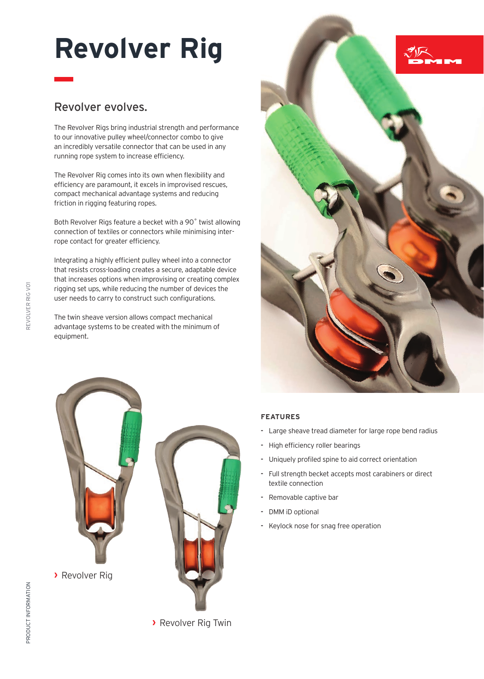## **Revolver Rig**

## Revolver evolves.

The Revolver Rigs bring industrial strength and performance to our innovative pulley wheel/connector combo to give an incredibly versatile connector that can be used in any running rope system to increase efficiency.

The Revolver Rig comes into its own when flexibility and efficiency are paramount, it excels in improvised rescues, compact mechanical advantage systems and reducing friction in rigging featuring ropes.

Both Revolver Rigs feature a becket with a 90˚ twist allowing connection of textiles or connectors while minimising interrope contact for greater efficiency.

Integrating a highly efficient pulley wheel into a connector that resists cross-loading creates a secure, adaptable device that increases options when improvising or creating complex rigging set ups, while reducing the number of devices the user needs to carry to construct such configurations.

The twin sheave version allows compact mechanical advantage systems to be created with the minimum of equipment.



## **FEATURES**

- **-** Large sheave tread diameter for large rope bend radius
- **-** High efficiency roller bearings
- **-** Uniquely profiled spine to aid correct orientation
- **-** Full strength becket accepts most carabiners or direct textile connection
- **-** Removable captive bar
- **-** DMM iD optional
- **-** Keylock nose for snag free operation